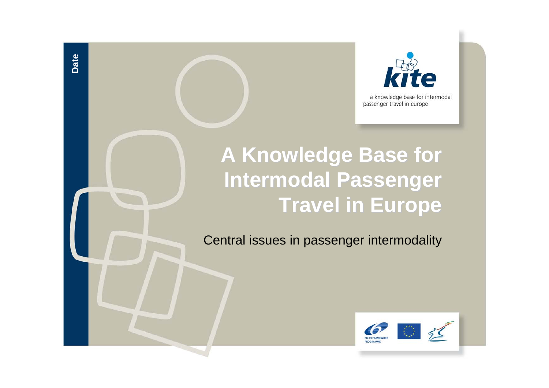

a knowledge base for intermodal passenger travel in europe

# **A Knowledge Base for Intermodal Passenger Travel in Europe Travel in Europe**

**Date**

Central issues in passenger intermodality

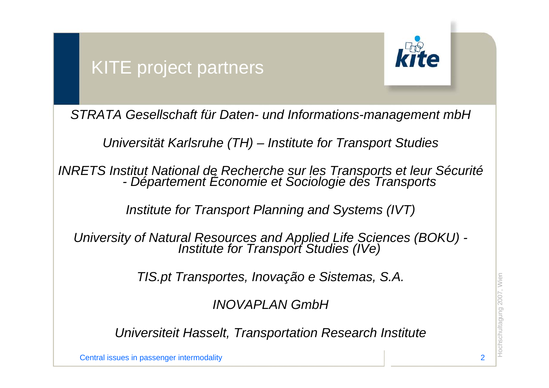## KITE project partners



*STRATA Gesellschaft für Daten- und Informations-management mbH*

*Universität Karlsruhe (TH) – Institute for Transport Studies*

*INRETS Institut National de Recherche sur les Transports et leur Sécurité -Département Économie et Sociologie des Transports* 

*Institute for Transport Planning and Systems (IVT)* 

*University of Natural Resources and Applied Life Sciences (BOKU) - Institute for Transport Studies (IVe)*

*TIS.pt Transportes, Inovação e Sistemas, S.A.*

*INOVAPLAN GmbH*

 $H$ S.pt Transportes, Inovação e Sistemas, S.A.<br> $H$ NOVAPLAN GmbH<br>Universiteit Hasselt, Transportation Research Institute<br>Central issues in passenger intermodality *Universiteit Hasselt, Transportation Research Institute*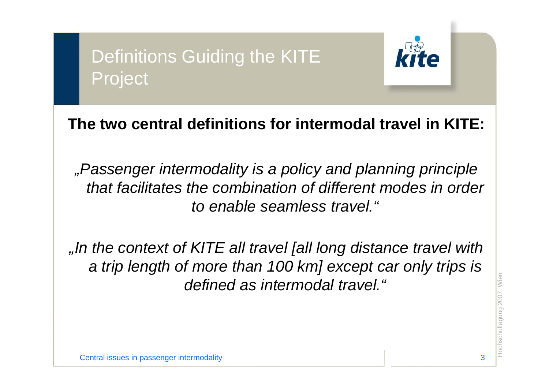# Definitions Guiding the KITE Project



### **The two central definitions for intermodal travel in KITE:**

*"Passenger intermodality is a policy and planning principle that facilitates the combination of different modes in order to enable seamless travel."*

 $\text{defined as internal.}$  "  $\text{defined as internal.}$   $\text{Hence,}\ \text{Hence,}\ \text{Hence,}\ \text{Hence,}\ \text{Hence,}\ \text{Hence,}\ \text{Hence,}\ \text{Hence,}\ \text{Hence,}\ \text{Hence,}\ \text{Hence,}\ \text{Hence,}\ \text{Hence,}\ \text{Hence,}\ \text{Hence,}\ \text{Hence,}\ \text{Hence,}\ \text{Hence,}\ \text{Hence,}\ \text{Hence,}\ \text{Hence,}\ \text{Hence,}\ \text{Hence,}\ \text{Hence,}\ \text{Hence,}\ \text{Hence,}\ \text{Hence,}\ \text{Hence,}\$ *"In the context of KITE all travel [all long distance travel with a trip length of more than 100 km] except car only trips is defined as intermodal travel."*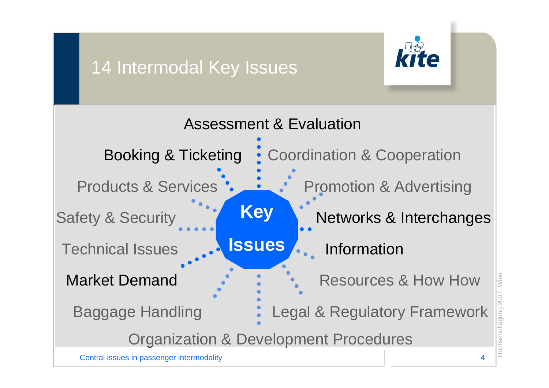## 14 Intermodal Key Issues



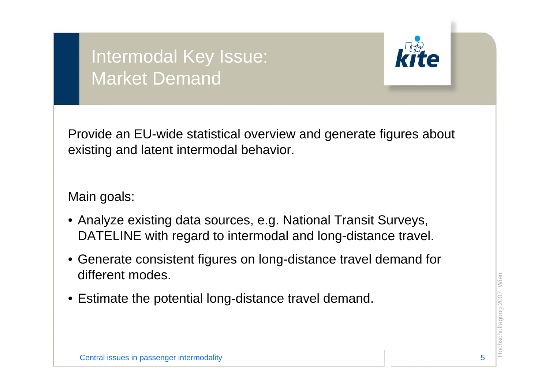## Intermodal Key Issue: Market Demand



Provide an EU-wide statistical overview and generate figures about existing and latent intermodal behavior.

- Analyze existing data sources, e.g. National Transit Surveys, DATELINE with regard to intermodal and long-distance travel.
- Generate consistent figures on long-distance travel demand for different modes.
- $\epsilon$  Estimate the potential long-distance travel demand.<br>Estimate the potential long-distance travel demand.<br>Central issues in passenger intermodality strategy and the contral issues in passenger intermodality strategy • Estimate the potential long-distance travel demand.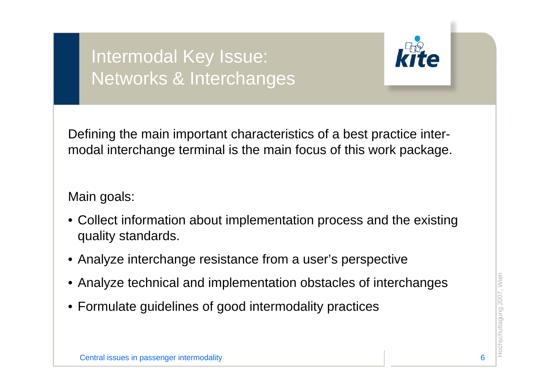## Intermodal Key Issue: Networks & Interchanges



Defining the main important characteristics of a best practice intermodal interchange terminal is the main focus of this work package.

- Collect information about implementation process and the existing quality standards.
- Analyze interchange resistance from a user's perspective
- Analyze technical and implementation obstacles of interchanges<br>
Formulate guidelines of good intermodality practices<br>  $\frac{1}{2}$ <br>  $\frac{1}{2}$ <br>
Central issues in passenger intermodality • Analyze technical and implementation obstacles of interchanges
- Formulate guidelines of good intermodality practices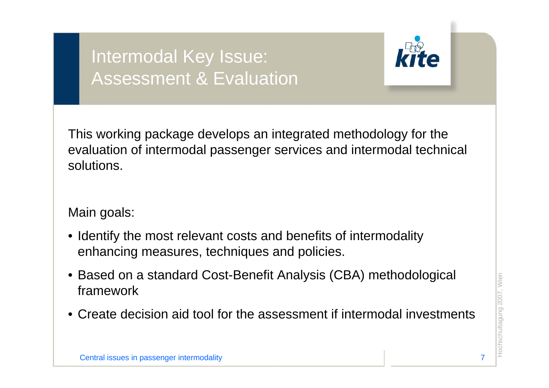## Intermodal Key Issue: Assessment & Evaluation



This working package develops an integrated methodology for the evaluation of intermodal passenger services and intermodal technical solutions.

- Identify the most relevant costs and benefits of intermodality enhancing measures, techniques and policies.
- Based on a standard Cost-Benefit Analysis (CBA) methodological<br>
Framework<br>
Create decision aid tool for the assessment if intermodal investments • Based on a standard Cost-Benefit Analysis (CBA) methodological framework
- Create decision aid tool for the assessment if intermodal investments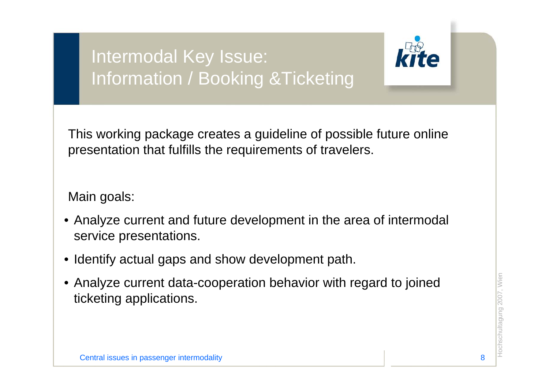# Intermodal Key Issue: Information / Booking &Ticketing



This working package creates a guideline of possible future online presentation that fulfills the requirements of travelers.

- Analyze current and future development in the area of intermodal service presentations.
- •Identify actual gaps and show development path.
- Analyze current data-cooperation behavior with regard to joined<br>
cketing applications.<br>
Secontral issues in passenger intermodality and the central issues in passenger intermodality • Analyze current data-cooperation behavior with regard to joined ticketing applications.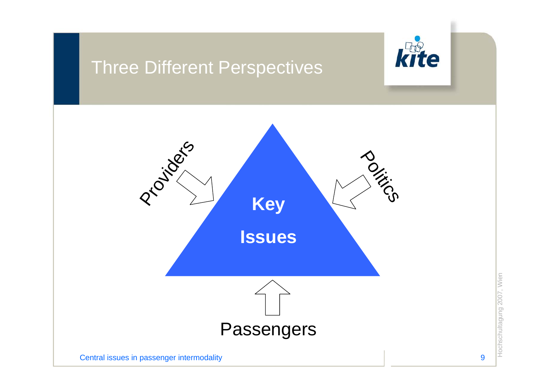## Three Different Perspectives



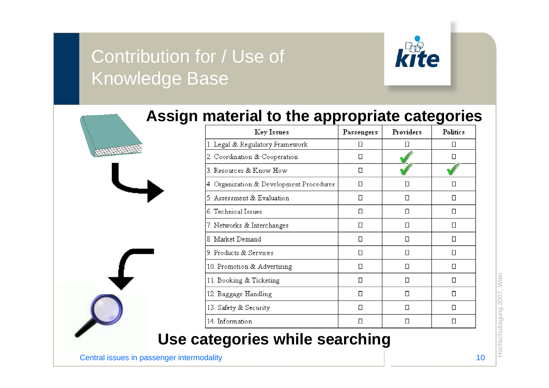## Contribution for / Use of Knowledge Base



#### **Assign material to the appropriate categories**

|  | <b>Key Issues</b>                        | Passengers | Providers | <b>Politics</b> |
|--|------------------------------------------|------------|-----------|-----------------|
|  | 1. Legal & Regulatory Framework          | $\Box$     | □         | Π               |
|  | 2. Coordination & Cooperation            | $\Box$     |           | Ω               |
|  | 3. Resources & Know How                  | $\Box$     |           |                 |
|  | 4. Organization & Development Procedures | $\Box$     | П         | п               |
|  | 5. Assessment & Evaluation               | □          | п         | Ω               |
|  | 6. Technical Issues                      | $\Box$     | □         | □               |
|  | 7. Networks & Interchanges               | D          | $\Box$    | Π               |
|  | 8. Market Demand                         | $\Box$     | Ω         | $\Box$          |
|  | 9 Products & Services                    | $\Box$     | Ω         | Ω               |
|  | 10. Promotion & Advertising              | П          | □         | □               |
|  | 11. Booking & Ticketing                  | $\Box$     | П         | □               |
|  | 12. Baggage Handling                     | П          | П         | □               |
|  | 13. Safety & Security                    | □          | □         | □               |
|  | 14. Information                          | $\Box$     | Π         | □               |

#### **Use categories while searching**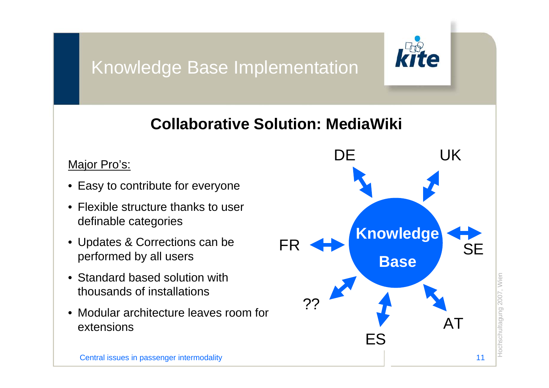## Knowledge Base Implementation



### **Collaborative Solution: MediaWiki**

- Easy to contribute for everyone
- Flexible structure thanks to user definable categories
- Updates & Corrections can be performed by all users
- Standard based solution with thousands of installations
- Modular architecture leaves room for extensions